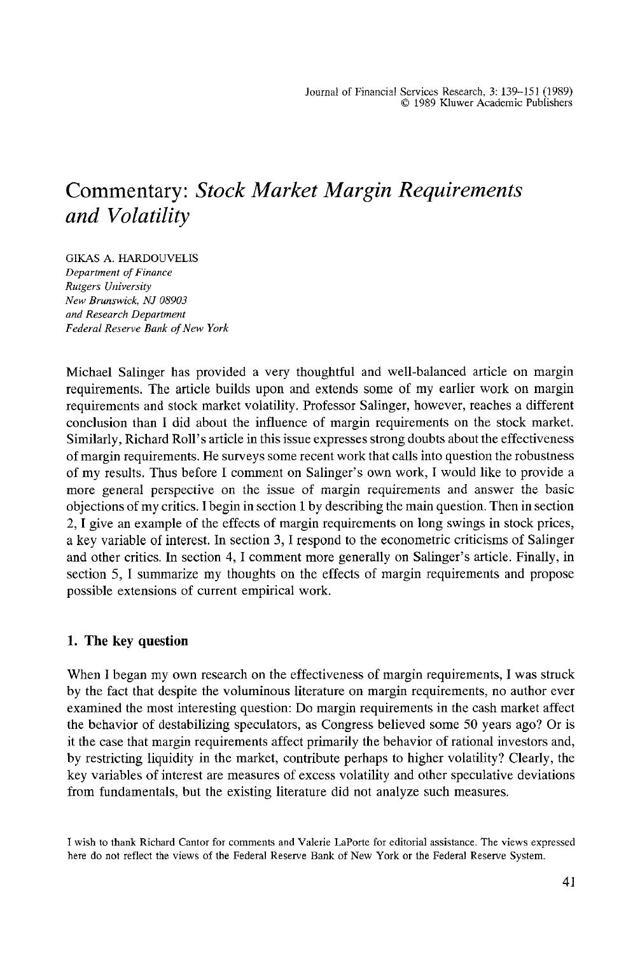# **Commentary"** *Stock Market Margin Requirements and Volatility*

GIKAS A. HARDOUVELIS *Department of Finance Rutgers University New Brunswick, NJ 08903 and Research Department Federal Reserve Bank of New York* 

Michael Salinger has provided a very thoughtful and well-balanced article on margin requirements. The article builds upon and extends some of my earlier work on margin requirements and stock market volatility. Professor Salinger, however, reaches a different conclusion than I did about the influence of margin requirements on the stock market. Similarly, Richard Roll's article in this issue expresses strong doubts about the effectiveness of margin requirements. He surveys some recent work that calls into question the robustness of my results. Thus before I comment on Salinger's own work, I would like to provide a more general perspective on the issue of margin requirements and answer the basic objections of my critics. I begin in section 1 by describing the main question. Then in section 2, I give an example of the effects of margin requirements on long swings in stock prices, a key variable of interest. In section 3, I respond to the econometric criticisms of Salinger and other critics. In section 4, I comment more generally on Salinger's article. Finally, in section 5, I summarize my thoughts on the effects of margin requirements and propose possible extensions of current empirical work.

# **1. The key question**

When I began my own research on the effectiveness of margin requirements, I was struck by the fact that despite the voluminous literature on margin requirements, no author ever examined the most interesting question: Do margin requirements in the cash market affect the behavior of destabilizing speculators, as Congress believed some 50 years ago? Or is it the case that margin requirements affect primarily the behavior of rational investors and, by restricting liquidity in the market, contribute perhaps to higher volatility? Clearly, the key variables of interest are measures of excess volatility and other speculative deviations from fundamentals, but the existing literature did not analyze such measures.

I wish to thank Richard Cantor for comments and Valerie LaPorte for editorial assistance. The views expressed here do not reflect the views of the Federal Reserve Bank of New York or the Federal Reserve System.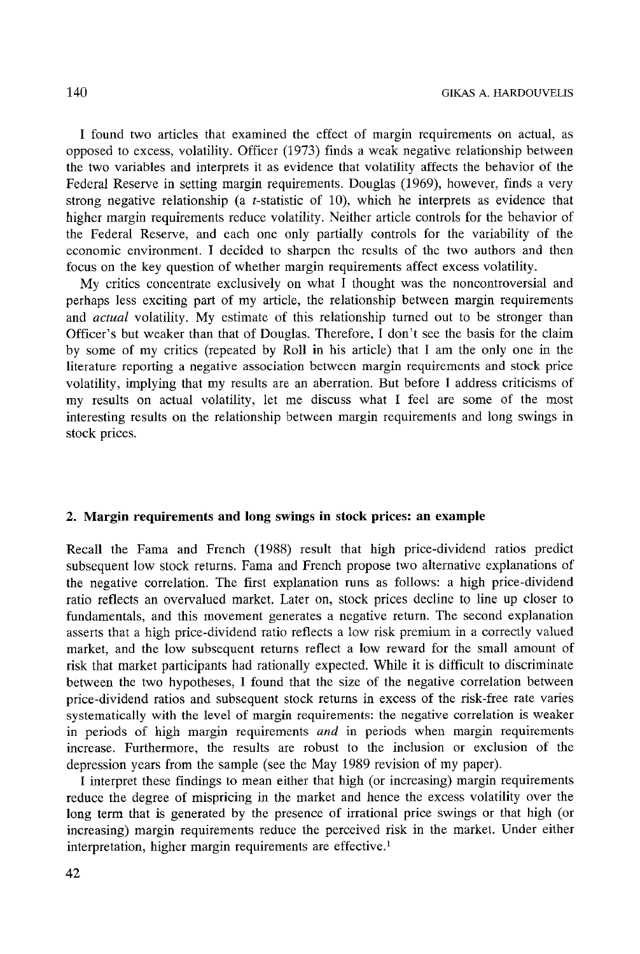I found two articles that examined the effect of margin requirements on actual, as opposed to excess, volatility. Officer (1973) finds a weak negative relationship between the two variables and interprets it as evidence that volatility affects the behavior of the Federal Reserve in setting margin requirements. Douglas (1969), however, finds a very strong negative relationship (a *t*-statistic of 10), which he interprets as evidence that higher margin requirements reduce volatility. Neither article controls for the behavior of the Federal Reserve, and each one only partially controls for the variability of the economic environment. I decided to sharpen the results of thc two authors and then focus on the key question of whether margin requirements affect excess volatility.

My critics concentrate exclusively on what I thought was the noncontroversial and perhaps less exciting part of my article, the relationship between margin requirements and *actual* volatility. My estimate of this relationship turned out to be stronger than Officer's but weaker than that of Douglas. Therefore, I don't see the basis for the claim by some of my critics (repeated by Roll in his article) that I am the only one in the literature reporting a negative association between margin requirements and stock price volatility, implying that my results are an aberration. But before I address criticisms of my results on actual volatility, let me discuss what I feel are some of the most interesting results on the relationship between margin requirements and long swings in stock prices.

#### **2. Margin requirements and long swings in stock prices: an example**

Recall the Fama and French (1988) result that high price-dividend ratios predict subsequent low stock returns. Fama and French propose two alternative explanations of the negative correlation. The first explanation runs as follows: a high price-dividend ratio reflects an overvalued market. Later on, stock prices decline to line up closer to fundamentals, and this movement generates a negative return. The second explanation asserts that a high price-dividend ratio reflects a low risk premium in a correctly valued market, and the low subsequent returns reflect a low reward for the small amount of risk that market participants had rationally expected. While it is difficult to discriminate between the two hypotheses, I found that the size of the negative correlation between price-dividend ratios and subsequent stock returns in excess of the risk-free rate varies systematically with the level of margin requirements: the negative correlation is weaker in periods of high margin requirements *and* in periods when margin requirements increase. Furthermore, the results are robust to the inclusion or exclusion of the depression years from the sample (see the May 1989 revision of my paper).

I interpret these findings to mean either that high (or increasing) margin requirements reduce the degree of mispricing in the market and hence the excess volatility over the long term that is generated by the presence of irrational price swings or that high (or increasing) margin requirements reduce the perceived risk in the market. Under either interpretation, higher margin requirements are effective. $<sup>1</sup>$ </sup>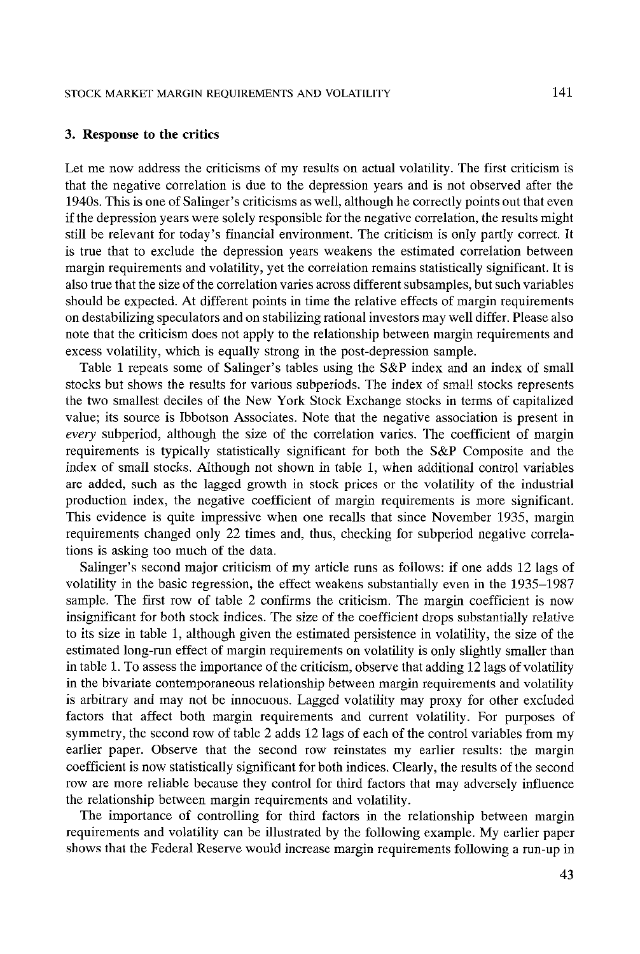#### **3. Response to the critics**

Let me now address the criticisms of my results on actual volatility. The first criticism is that the negative correlation is due to the depression years and is not observed after the 1940s. This is one of Salinger's criticisms as well, although he correctly points out that even if the depression years were solely responsible for the negative correlation, the results might still be relevant for today's financial environment. The criticism is only partly correct. It is true that to exclude the depression years weakens the estimated correlation between margin requirements and volatility, yet the correlation remains statistically significant. It is also true that the size of the correlation varies across different subsamples, but such variables should be expected. At different points in time the relative effects of margin requirements on destabilizing speculators and on stabilizing rational investors may well differ. Please also note that the criticism does not apply to the relationship between margin requirements and excess volatility, which is equally strong in the post-depression sample.

Table 1 repeats some of Salinger's tables using the S&P index and an index of small stocks but shows the results for various subperiods. The index of small stocks represents the two smallest deciles of the New York Stock Exchange stocks in terms of capitalized value; its source is Ibbotson Associates. Note that the negative association is present in *every* subperiod, although the size of the correlation varies. The coefficient of margin requirements is typically statistically significant for both the S&P Composite and the index of small stocks. Although not shown in table 1, when additional control variables are added, such as the lagged growth in stock prices or the volatility of the industrial production index, the negative coefficient of margin requirements is more significant. This evidence is quite impressive when one recalls that since November 1935, margin requirements changed only 22 times and, thus, checking for subperiod negative correlations is asking too much of the data.

Salinger's second major criticism of my article runs as follows: if one adds 12 lags of volatility in the basic regression, the effect weakens substantially even in the 1935-1987 sample. The first row of table 2 confirms the criticism. The margin coefficient is now insignificant for both stock indices. The size of the coefficient drops substantially relative to its size in table 1, although given the estimated persistence in volatility, the size of the estimated long-run effect of margin requirements on volatility is only slightly smaller than in table 1. To assess the importance of the criticism, observe that adding 12 lags of volatility in the bivariate contemporaneous relationship between margin requirements and volatility is arbitrary and may not be innocuous. Lagged volatility may proxy for other excluded factors that affect both margin requirements and current volatility. For purposes of symmetry, the second row of table 2 adds 12 lags of each of the control variables from my earlier paper. Observe that the second row reinstates my earlier results: the margin coefficient is now statistically significant for both indices. Clearly, the results of the second row are more reliable because they control for third factors that may adversely influence the relationship between margin requirements and volatility.

The importance of controlling for third factors in the relationship between margin requirements and volatility can be illustrated by the following example. My earlier paper shows that the Federal Reserve would increase margin requirements following a run-up in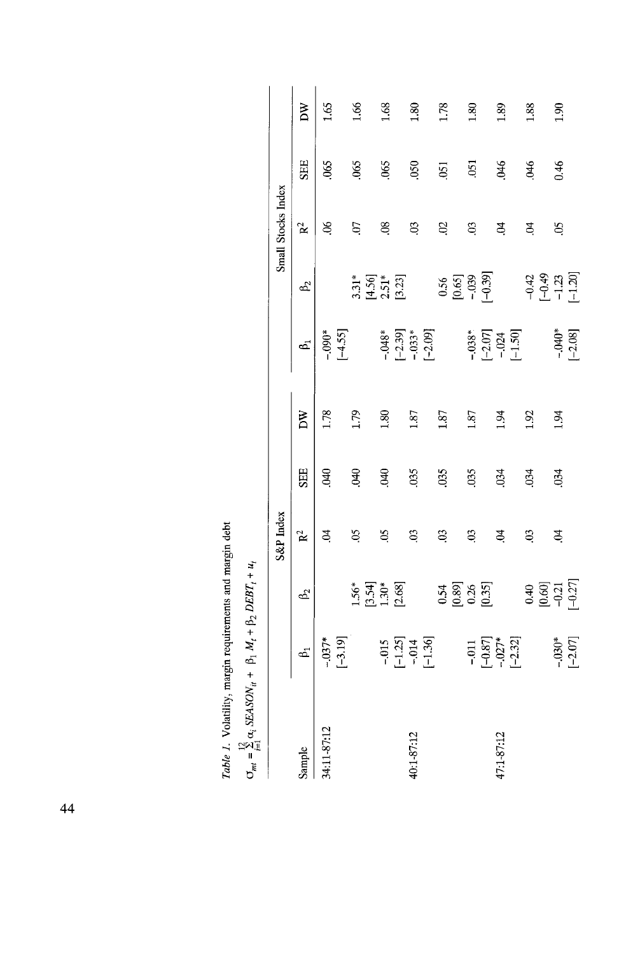| ľ           |                                                                                      |                                  |                     |             |      |                                            |                                                      |                         |            |      |
|-------------|--------------------------------------------------------------------------------------|----------------------------------|---------------------|-------------|------|--------------------------------------------|------------------------------------------------------|-------------------------|------------|------|
|             |                                                                                      |                                  | S&P Index           |             |      |                                            |                                                      | Small Stocks Index      |            |      |
| Sample      | e,                                                                                   | $\mathbf{\hat{e}}_{2}$           | R <sup>2</sup>      | <b>SEE</b>  | Ř    | ය                                          | 82                                                   | R <sup>2</sup>          | <b>SEE</b> | ΒŇ   |
| 34:11-87:12 |                                                                                      |                                  | \$                  | <b>SHO</b>  | 1.78 | $-090*$<br>$[-4.55]$                       |                                                      | $\infty$                | 890        | 59.1 |
|             | $-037*$<br>[-3.19]                                                                   |                                  |                     |             |      |                                            |                                                      |                         |            |      |
|             |                                                                                      |                                  | $\ddot{\circ}$      | <b>GFO.</b> | 1.79 |                                            |                                                      | Θj.                     | 065        | 1.66 |
|             |                                                                                      |                                  |                     |             |      |                                            |                                                      |                         |            |      |
|             |                                                                                      |                                  | $\ddot{\mathbf{S}}$ | <b>940</b>  | 1.80 |                                            |                                                      | $\overline{\mathbf{8}}$ | 065        | 1.68 |
|             |                                                                                      | $1.56$ *<br>$[3.54]$<br>$[2.68]$ |                     |             |      |                                            | 3.31*<br>[4.56]<br>[3.23]                            |                         |            |      |
| 40:1-87:12  |                                                                                      |                                  | $\mathfrak{S}$      | 035         | 1.87 |                                            |                                                      | S.                      | 050        | 1.80 |
|             | $-015$<br>$-1.25$<br>$-014$<br>$-1.36$                                               |                                  |                     |             |      | $-048*$<br>$[-2.39]$<br>$-033*$<br>$-033*$ |                                                      |                         |            |      |
|             |                                                                                      |                                  | S                   | .035        | 1.87 |                                            |                                                      | S                       | 051        | 1.78 |
|             |                                                                                      |                                  |                     |             |      |                                            |                                                      |                         |            |      |
|             |                                                                                      |                                  | $\mathfrak{S}$      | .035        | 1.87 |                                            |                                                      | $\mathcal{L}$           | 051        | 1.80 |
|             | $\begin{array}{c} -011 \\[-4pt] -0.87] \\[-4pt] -0.27^* \\[-4pt] -2.32] \end{array}$ | 33<br>0.89<br>0.35<br>0.35       |                     |             |      | $-038$<br>$-2.07$<br>$-1.50$               | $\begin{bmatrix} 656 \\ 0.65 \\ -0.39 \end{bmatrix}$ |                         |            |      |
| 47:1-87:12  |                                                                                      |                                  | ਡ੍                  | 034         | 1.94 |                                            |                                                      | इं                      | 946        | 1.89 |
|             |                                                                                      |                                  |                     |             |      |                                            |                                                      |                         |            |      |
|             |                                                                                      |                                  | S                   | 034         | 1.92 |                                            |                                                      | S.                      | 946        | 1.88 |
|             |                                                                                      |                                  |                     |             |      |                                            |                                                      |                         |            |      |
|             |                                                                                      | $0.6017$<br>$0.6017$<br>$0.217$  | $\tilde{q}$         | 034         | 1.94 |                                            | $-22$<br>$-22$<br>$-12$<br>$-12$<br>$-1$             | $\mathbf{S}$            | 0.46       | 1.90 |
|             | $-030^*$<br>$[-2.07]$                                                                |                                  |                     |             |      | $-040*$<br>$[-2.08]$                       |                                                      |                         |            |      |

Table 1. Volatility, margin requirements and margin debt

 $G_{mi} = \sum_{i=1}^{12} \alpha_i \, SEASON_{it} + \beta_1 \, M_t + \beta_2 \, DEBT_t + u_t$ 

 $\overline{44}$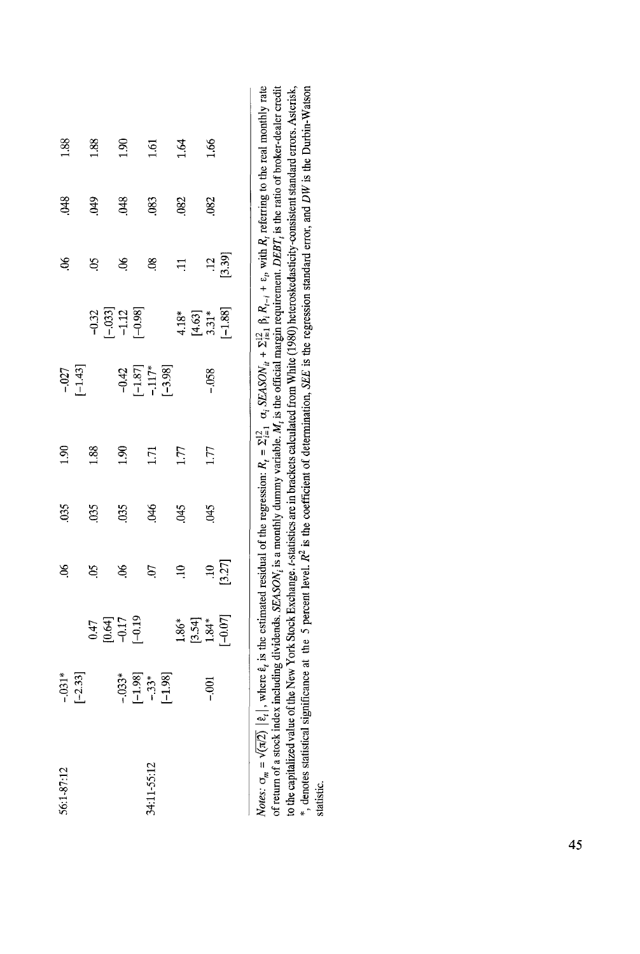| 9G        | 1.88<br>1.88 1.90<br>1.61 1.64 1.66<br>$\mathfrak{S}$                                                                                                                                                     |            | $68$ $83$ $122$                                                                               |
|-----------|-----------------------------------------------------------------------------------------------------------------------------------------------------------------------------------------------------------|------------|-----------------------------------------------------------------------------------------------|
|           |                                                                                                                                                                                                           |            | $-1.33$<br>$-1.12$<br>$-1.2$<br>$-1.3$<br>$-1.3$<br>$-1.3$<br>$-1.3$<br>$-1.88$ ]             |
|           | $-027$<br>$-1.43$ ]<br>$-0.42$<br>$-1.17$ *<br>$-1.17$ *<br>$-3.98$ ]                                                                                                                                     |            |                                                                                               |
|           | $1.90$<br>$1.88$<br>$1.71$<br>$1.77$                                                                                                                                                                      |            |                                                                                               |
|           | $35$<br>$35$<br>$35$<br>$35$<br>$35$<br>$35$<br>$35$<br>$35$                                                                                                                                              |            |                                                                                               |
|           |                                                                                                                                                                                                           |            | $\frac{175}{13}$<br>$\frac{175}{13}$<br>$\frac{175}{13}$                                      |
|           |                                                                                                                                                                                                           |            | $0.47$<br>$0.64$<br>$-0.17$<br>$-0.19$<br>$-0.19$<br>$-0.86$<br>$-0.84$<br>$-0.34$<br>$-0.07$ |
|           | $\begin{bmatrix} -0.31^* \\ -0.33 \end{bmatrix}$<br>$\begin{bmatrix} -2.33 \\ -0.33 \end{bmatrix}$<br>$\begin{bmatrix} 0.33^* \\ -0.33^* \end{bmatrix}$<br>$\begin{bmatrix} -1.98 \\ -1.98 \end{bmatrix}$ |            |                                                                                               |
| 6:1.87:12 |                                                                                                                                                                                                           | 4:11-55:12 |                                                                                               |

*Notes*:  $\sigma_m = \sqrt{\langle \pi/2 \rangle} | \hat{\varepsilon}_l |$ , where  $\hat{\varepsilon}_i$  is the estimated residual of the regression:  $R_t = \Sigma_{i=1}^1 \alpha_i$ , SEASON<sub>i</sub> +  $\Sigma_{i=1}^1 \beta_i R_{t-1} + \varepsilon_n$ , with R, referring to the real monthly rate of reuture of a sto \*, denotes statistical significance at the 5 percent level. R<sup>2</sup> is the coefficient of determination, SEE is the regression standard error, and DW is the Durbin-Watson to the capitalized value of the New York Stock Exchange. t-statistics are in brackets calculated from White (1980) heteroskedasticity-consistent standard errors. Asterisk, statistic.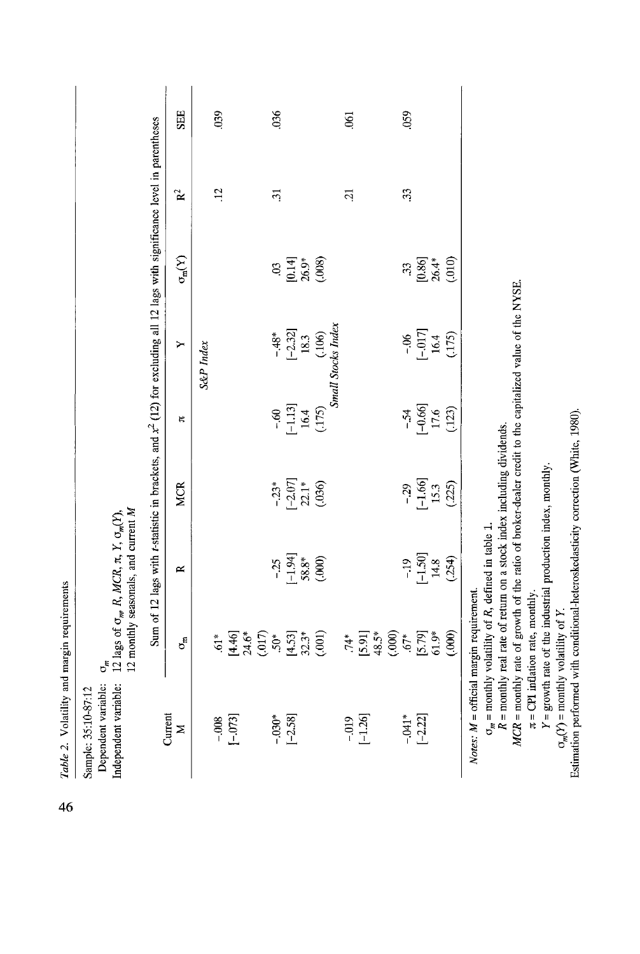| Independent variable:<br>Dependent variable: | ರ್                                                                                        | 12 monthly seasonals, and current M<br>12 lags of $\sigma_m R$ , MCR, $\pi$ , Y, $\sigma_m(Y)$ , |                                         |                                         |                                                               |                                                                                                                              |                 |            |
|----------------------------------------------|-------------------------------------------------------------------------------------------|--------------------------------------------------------------------------------------------------|-----------------------------------------|-----------------------------------------|---------------------------------------------------------------|------------------------------------------------------------------------------------------------------------------------------|-----------------|------------|
|                                              |                                                                                           |                                                                                                  |                                         |                                         |                                                               | Sum of 12 lags with t-statistic in brackets, and $x^2$ (12) for excluding all 12 lags with significance level in parentheses |                 |            |
| Current<br>$\geq$                            | $\sigma_{\rm m}$                                                                          | ≃                                                                                                | <b>MCR</b>                              | E                                       | ≻                                                             | $\sigma_{\rm m}(\rm Y)$                                                                                                      | $\mathbf{R}^2$  | <b>SEE</b> |
|                                              |                                                                                           |                                                                                                  |                                         |                                         | S&P Index                                                     |                                                                                                                              |                 |            |
|                                              |                                                                                           |                                                                                                  |                                         |                                         |                                                               |                                                                                                                              | $\overline{12}$ | 039        |
| $-0.08$<br>$[-0.73]$                         | $.61*$<br>$(4.46)$<br>$(4.46)$<br>$(0.17)$<br>$(0.17)$<br>$(0.53)$<br>$(4.53)$<br>$(3.2)$ |                                                                                                  |                                         |                                         |                                                               |                                                                                                                              |                 |            |
|                                              |                                                                                           |                                                                                                  |                                         |                                         |                                                               |                                                                                                                              |                 |            |
|                                              |                                                                                           |                                                                                                  |                                         |                                         |                                                               |                                                                                                                              |                 |            |
|                                              |                                                                                           |                                                                                                  |                                         |                                         |                                                               | 62                                                                                                                           | 51              | 036        |
| $-030*$<br>$[-2.58]$                         |                                                                                           |                                                                                                  |                                         |                                         |                                                               |                                                                                                                              |                 |            |
|                                              |                                                                                           |                                                                                                  |                                         |                                         |                                                               |                                                                                                                              |                 |            |
|                                              |                                                                                           | $-25$<br>$-1.94$ ]<br>$588$<br>$580$                                                             | $-2.07$<br>$-2.07$<br>$2.1*$<br>$2.036$ | $-60$<br>$[-1.13]$<br>$16.4$<br>$(175)$ |                                                               | $\begin{bmatrix} 0.14 \\ 26.9^* \\ 0.08 \end{bmatrix}$                                                                       |                 |            |
|                                              |                                                                                           |                                                                                                  |                                         |                                         | 0<br>$-48*$<br>$[-2.32]$<br>4<br>5<br>5<br>Small Stocks Index |                                                                                                                              |                 |            |
|                                              |                                                                                           |                                                                                                  |                                         |                                         |                                                               |                                                                                                                              | $\overline{c}$  | <b>961</b> |
| $-019$<br>$[-1.26]$                          |                                                                                           |                                                                                                  |                                         |                                         |                                                               |                                                                                                                              |                 |            |
|                                              |                                                                                           |                                                                                                  |                                         |                                         |                                                               |                                                                                                                              |                 |            |
|                                              | $74*$<br>$[5.91]$<br>$48.5*$<br>$(000)$<br>$67*$                                          |                                                                                                  |                                         |                                         |                                                               |                                                                                                                              |                 |            |
|                                              |                                                                                           |                                                                                                  |                                         |                                         |                                                               | $\ddot{3}$                                                                                                                   | 33              | 059        |
| $-041*$<br>$[-2.22]$                         | $[5.79]$<br>61.9*                                                                         |                                                                                                  |                                         |                                         |                                                               |                                                                                                                              |                 |            |
|                                              |                                                                                           |                                                                                                  |                                         |                                         |                                                               |                                                                                                                              |                 |            |
|                                              | (000)                                                                                     | $-150$<br>$-150$<br>$14.8$<br>$(254)$                                                            | $-29$<br>$[-1.66]$<br>$15.3$<br>$(225)$ | $-54$<br>$[-0.66]$<br>$17.6$<br>$(123)$ | $-06$<br>$[-017]$<br>$16.4$<br>$16.4$                         | $[0.86]$<br>26.4*<br>(.010)                                                                                                  |                 |            |
| $Notes: M = official margin requirement.$    |                                                                                           | $\sigma_{\rm m}$ = monthly volatility of R, defined in table 1.                                  |                                         |                                         |                                                               |                                                                                                                              |                 |            |

 $V_m$  =  $\frac{1}{1000 \text{ m/s}}$ ,  $\frac{1}{1000 \text{ m/s}}$ ,  $\frac{1}{1000 \text{ m/s}}$ ,  $\frac{1}{1000 \text{ m/s}}$ ,  $\frac{1}{1000 \text{ m/s}}$  including dividends.<br> *NCR* = monthly rate of growth of the ratio of broker-dealer credit to the capitalized value of th

 $\pi$  = CP1 inflation rate, monthly.

 $Y =$  growth rate of the industrial production index, monthly.<br>  $\sigma_m(Y) =$  monthly volatility of Y.

Estimation performed with conditional-heteroskedasticity correction (White, 1980).

 $\overline{46}$ 

Table 2. Volatility and margin requirements

Sample: 35:10-87:12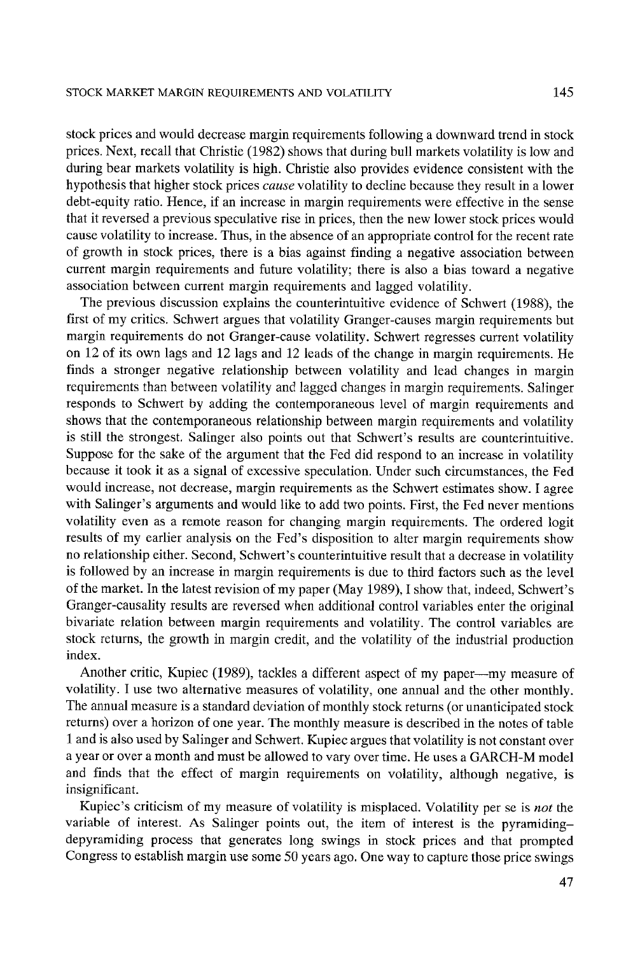stock prices and would decrease margin requirements following a downward trend in stock prices. Next, recall that Christie (1982) shows that during bull markets volatility is low and during bear markets volatility is high. Christie also provides evidence consistent with the hypothesis that higher stock prices *cause* volatility to decline because they result in a lower debt-equity ratio. Hence, if an increase in margin requirements were effective in the sense that it reversed a previous speculative rise in prices, then the new lower stock prices would cause volatility to increase. Thus, in the absence of an appropriate control for the recent rate of growth in stock prices, there is a bias against finding a negative association between current margin requirements and future volatility; there is also a bias toward a negative association between current margin requirements and lagged volatility.

The previous discussion explains the counterintuitive evidence of Schwert (1988), the first of my critics. Schwert argues that volatility Granger-causes margin requirements but margin requirements do not Granger-cause volatility. Schwert regresses current volatility on 12 of its own lags and 12 lags and 12 leads of the change in margin requirements. He finds a stronger negative relationship between volatility and lead changes in margin requirements than between volatility and lagged changes in margin requirements. Salinger responds to Schwert by adding the contemporaneous level of margin requirements and shows that the contemporaneous relationship between margin requirements and volatility is still the strongest. Salinger also points out that Schwert's results are counterintuitive. Suppose for the sake of the argument that the Fed did respond to an increase in volatility because it took it as a signal of excessive speculation. Under such circumstances, the Fed would increase, not decrease, margin requirements as the Schwert estimates show. I agree with Salinger's arguments and would like to add two points. First, the Fed never mentions volatility even as a remote reason for changing margin requirements. The ordered logit results of my earlier analysis on the Fed's disposition to alter margin requirements show no relationship either. Second, Schwert's counterintuitive result that a decrease in volatility is followed by an increase in margin requirements is due to third factors such as the level of the market. In the latest revision of my paper (May 1989), I show that, indeed, Schwert's Granger-causality results are reversed when additional control variables enter the original bivariate relation between margin requirements and volatility. The control variables are stock returns, the growth in margin credit, and the volatility of the industrial production index.

Another critic, Kupiec (1989), tackles a different aspect of my paper---my measure of volatility. I use two alternative measures of volatility, one annual and the other monthly. The annual measure is a standard deviation of monthly stock returns (or unanticipated stock returns) over a horizon of one year. The monthly measure is described in the notes of table 1 and is also used by Salinger and Schwert. Kupiec argues that volatility is not constant over a year or over a month and must be allowed to vary over time. He uses a GARCH-M model and finds that the effect of margin requirements on volatility, although negative, is insignificant.

Kupiec's criticism of my measure of volatility is misplaced. Volatility per se is *not* the variable of interest. As Salinger points out, the item of interest is the pyramidingdepyramiding process that generates long swings in stock prices and that prompted Congress to establish margin use some 50 years ago. One way to capture those price swings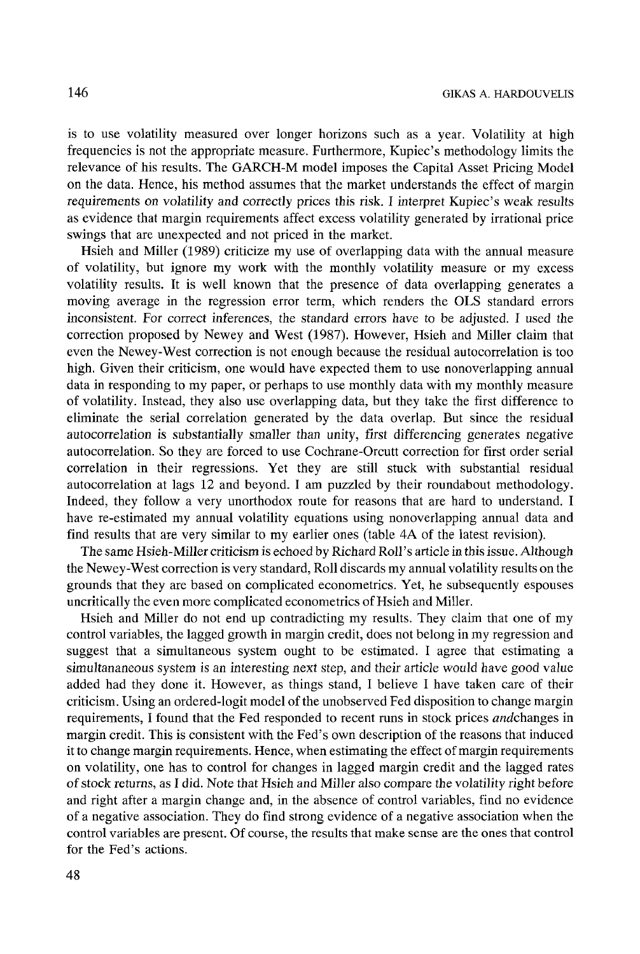is to use volatility measured over longer horizons such as a year. Volatility at high frequencies is not the appropriate measure. Furthermore, Kupiec's methodology limits the relevance of his results. The GARCH-M model imposes the Capital Asset Pricing Model on the data. Hence, his method assumes that the market understands the effect of margin requirements on volatility and correctly prices this risk. I interpret Kupiec's weak results as evidence that margin requirements affect excess volatility generated by irrational price swings that are unexpected and not priced in the market.

Hsieh and Miller (1989) criticize my use of overlapping data with the annual measure of volatility, but ignore my work with the monthly volatility measure or my excess volatility results. It is well known that the presence of data overlapping generates a moving average in the regression error term, which renders the OLS standard errors inconsistent. For correct inferences, the standard errors have to be adjusted. I used the correction proposed by Newey and West (1987). However, Hsieh and Miller claim that even the Newey-West correction is not enough because the residual autocorrelation is too high. Given their criticism, one would have expected them to use nonoverlapping annual data in responding to my paper, or perhaps to use monthly data with my monthly measure of volatility. Instead, they also use overlapping data, but they take the first difference to eliminate the serial correlation generated by the data overlap. But since the residual autocorrelation is substantially smaller than unity, first differencing generates negative autocorrelation. So they are forced to use Cochrane-Orcutt correction for first order serial correlation in their regressions. Yet they are still stuck with substantial residual autocorrelation at lags 12 and beyond. I am puzzled by their roundabout methodology. Indeed, they follow a very unorthodox route for reasons that are hard to understand. I have re-estimated my annual volatility equations using nonoverlapping annual data and find results that are very similar to my earlier ones (table 4A of the latest revision).

The same Hsieh-Miller criticism is echoed by Richard Roll's article in this issue. Although the Newey-West correction is very standard, Roll discards my annual volatility results on the grounds that they are based on complicated econometrics. Yet, he subsequently espouses uncritically the even more complicated econometrics of Hsieh and Miller.

Hsieh and Miller do not end up contradicting my results. They claim that one of my control variables, the lagged growth in margin credit, does not belong in my regression and suggest that a simultaneous system ought to be estimated. I agree that estimating a simultananeous system is an interesting next step, and their article would have good value added had they done it. However, as things stand, I believe I have taken care of their criticism. Using an ordered-logit model of the unobserved Fed disposition to change margin requirements, I found that the Fed responded to recent runs in stock prices *andchanges* in margin credit. This is consistent with the Fed's own description of the reasons that induced it to change margin requirements. Hence, when estimating the effect of margin requirements on volatility, one has to control for changes in lagged margin credit and the lagged rates of stock returns, as I did. Note that Hsieh and Miller also compare the volatility right before and right after a margin change and, in the absence of control variables, find no evidence of a negative association. They do find strong evidence of a negative association when the control variables are present. Of course, the results that make sense are the ones that control for the Fed's actions.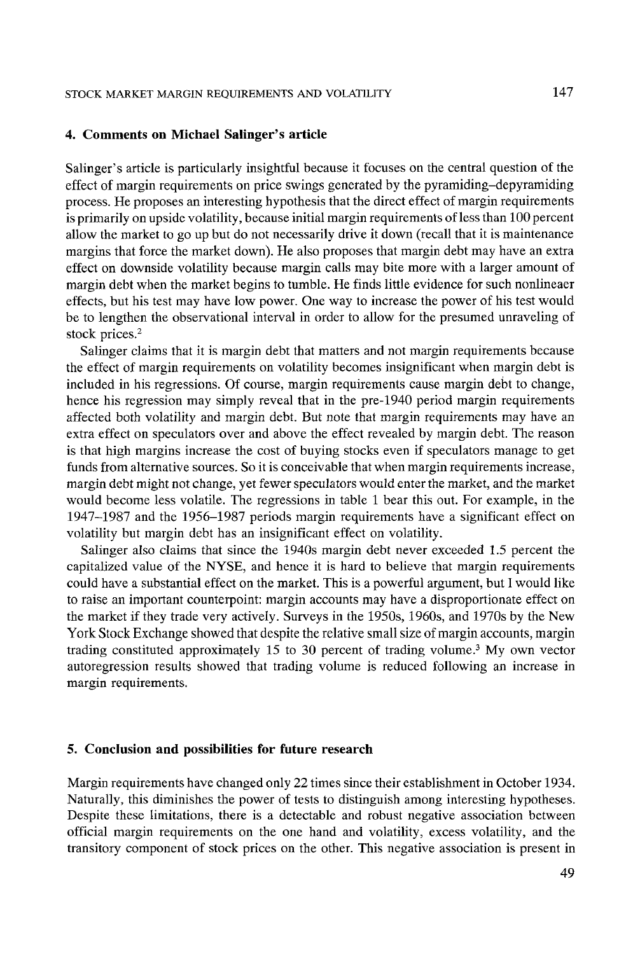#### **4. Comments on Michael Salinger's article**

Salinger's article is particularly insightful because it focuses on the central question of the effect of margin requirements on price swings generated by the pyramiding-depyramiding process. He proposes an interesting hypothesis that the direct effect of margin requirements is primarily on upside volatility, because initial margin requirements of less than 100 percent allow the market to go up but do not necessarily drive it down (recall that it is maintenance margins that force the market down). He also proposes that margin debt may have an extra effect on downside volatility because margin calls may bite more with a larger amount of margin debt when the market begins to tumble. He finds little evidence for such nonlineaer effects, but his test may have low power. One way to increase the power of his test would be to lengthen the observational interval in order to allow for the presumed unraveling of stock prices.<sup>2</sup>

Salinger claims that it is margin debt that matters and not margin requirements because the effect of margin requirements on volatility becomes insignificant when margin debt is included in his regressions. Of course, margin requirements cause margin debt to change, hence his regression may simply reveal that in the pre-1940 period margin requirements affected both volatility and margin debt. But note that margin requirements may have an extra effect on speculators over and above the effect revealed by margin debt. The reason is that high margins increase the cost of buying stocks even if speculators manage to get funds from alternative sources. So it is conceivable that when margin requirements increase, margin debt might not change, yet fewer speculators would enter the market, and the market would become less volatile. The regressions in table 1 bear this out. For example, in the 1947-1987 and the 1956-1987 periods margin requirements have a significant effect on volatility but margin debt has an insignificant effect on volatility.

Salinger also claims that since the 1940s margin debt never exceeded 1.5 percent the capitalized value of the NYSE, and hence it is hard to believe that margin requirements could have a substantial effect on the market. This is a powerful argument, but I would like to raise an important counterpoint: margin accounts may have a disproportionate effect on the market if they trade very actively. Surveys in the 1950s, 1960s, and 1970s by the New York Stock Exchange showed that despite the relative small size of margin accounts, margin trading constituted approximately 15 to 30 percent of trading volume.<sup>3</sup> My own vector autoregression results showed that trading volume is reduced following an increase in margin requirements.

## **5. Conclusion and possibilities for future research**

Margin requirements have changed only 22 times since their establishment in October 1934. Naturally, this diminishes the power of tests to distinguish among interesting hypotheses. Despite these limitations, there is a detectable and robust negative association between official margin requirements on the one hand and volatility, excess volatility, and the transitory component of stock prices on the other. This negative association is present in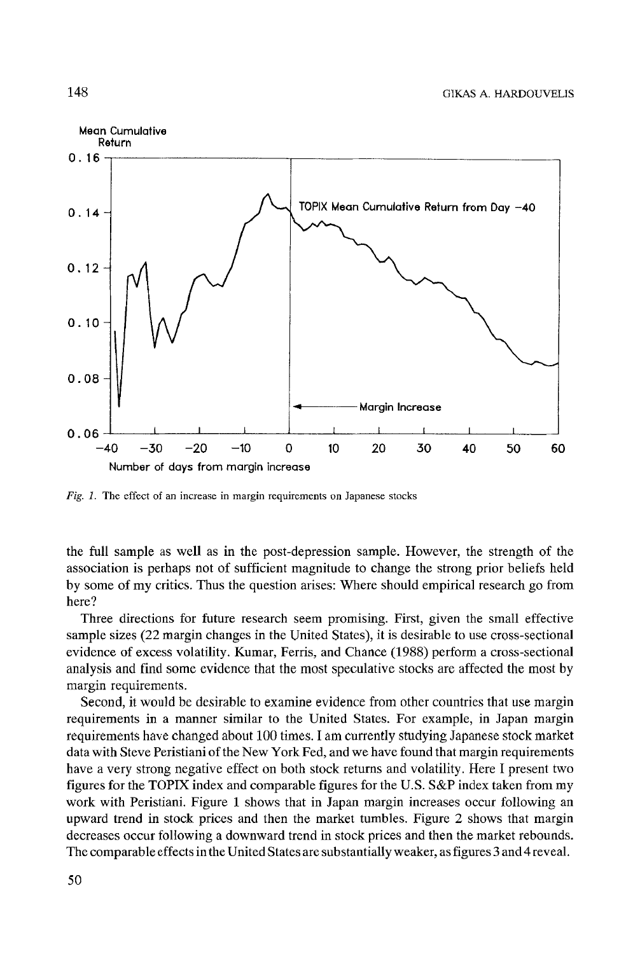

*Fig. 1.* The effect of an increase in margin requirements on Japanese stocks

the full sample as well as in the post-depression sample. However, the strength of the association is perhaps not of sufficient magnitude to change the strong prior beliefs held by some of my critics. Thus the question arises: Where should empirical research go from here?

Three directions for future research seem promising. First, given the small effective sample sizes (22 margin changes in the United States), it is desirable to use cross-sectional evidence of excess volatility. Kumar, Ferris, and Chance (1988) perform a cross-sectional analysis and find some evidence that the most speculative stocks are affected the most by margin requirements.

Second, it would be desirable to examine evidence from other countries that use margin requirements in a manner similar to the United States. For example, in Japan margin requirements have changed about 100 times. I am currently studying Japanese stock market data with Steve Peristiani of the New York Fed, and we have found that margin requirements have a very strong negative effect on both stock returns and volatility. Here I present two figures for the TOPIX index and comparable figures for the U.S. S&P index taken from my work with Peristiani. Figure 1 shows that in Japan margin increases occur following an upward trend in stock prices and then the market tumbles. Figure 2 shows that margin decreases occur following a downward trend in stock prices and then the market rebounds. The comparable effects in the United States are substantially weaker, as figures 3 and 4 reveal.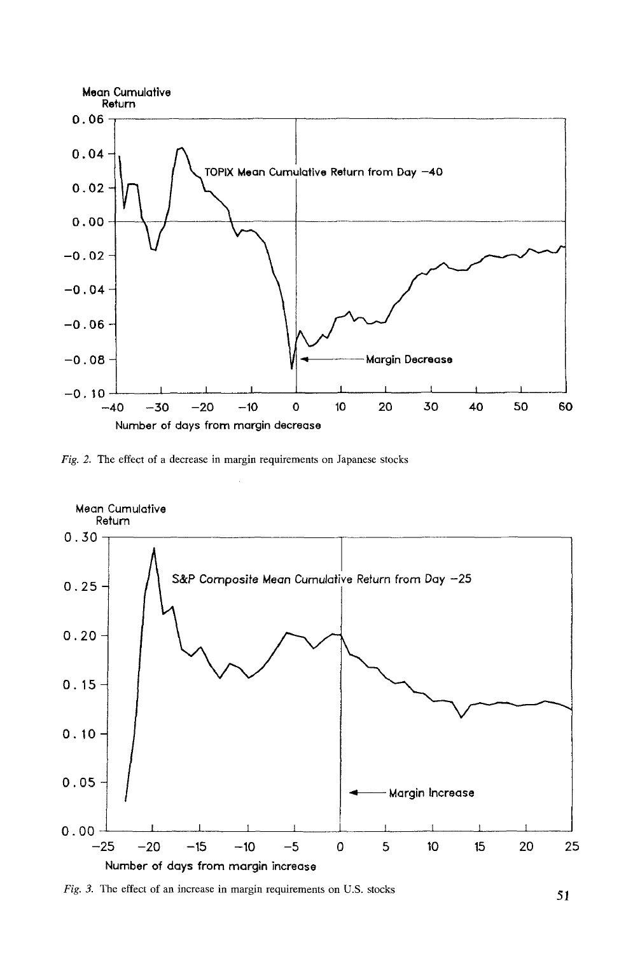

*Fig. 2.* The effect of a decrease in margin requirements on Japanese stocks



*Fig. 3.* The effect of an increase in margin requirements on U.S. stocks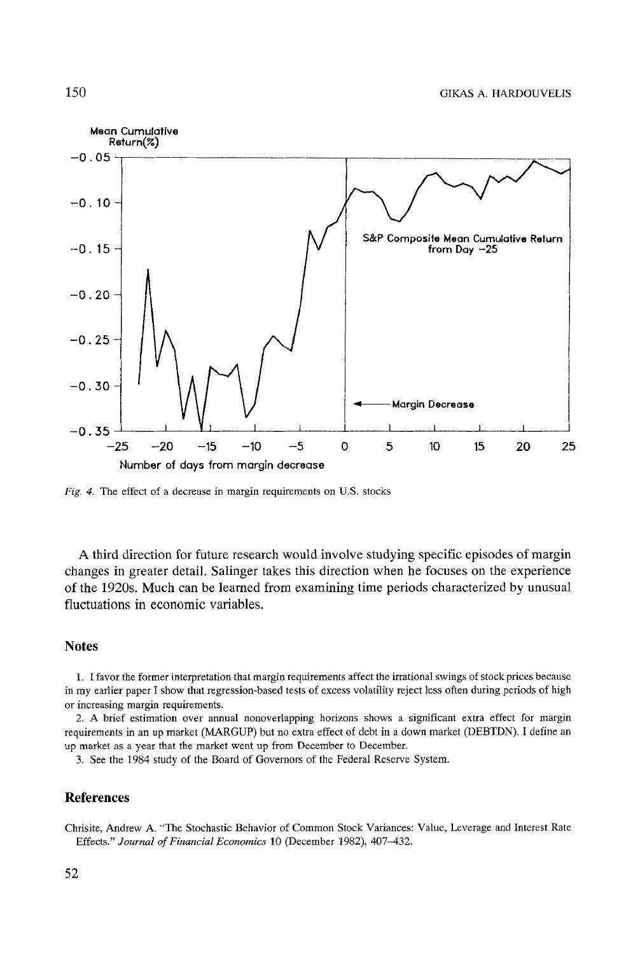

*Fig. 4.* The effect of a decrease in margin requirements on U.S. stocks

A third direction for future research would involve studying specific episodes of margin changes in greater detail. Salinger takes this direction when he focuses on the experience of the 1920s. Much can be learned from examining time periods characterized by unusual fluctuations in economic variables.

## **Notes**

1. I favor the former interpretation that margin requirements affect the irrational swings of stock prices because in my earlier paper I show that regression-based tests of excess volatility reject less often during periods of high or increasing margin requirements.

2. A brief estimation over annual nonoverlapping horizons shows a significant extra effect for margin requirements in an up market (MARGUP) but no extra effect of debt in a down market (DEBTDN). I define an up market as a year that the market went up from December to December.

3. See the 1984 study of the Board of Governors of the Federal Reserve System.

## **References**

Chrisite, Andrew A. "The Stochastic Behavior of Common Stock Variances: Value, Leverage and Interest Rate Effects." *Journal of Financial Economics* 10 (December 1982), 407-432.